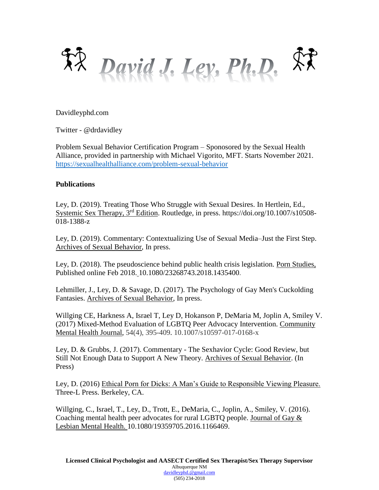

Davidleyphd.com

Twitter - @drdavidley

Problem Sexual Behavior Certification Program – Sponosored by the Sexual Health Alliance, provided in partnership with Michael Vigorito, MFT. Starts November 2021. <https://sexualhealthalliance.com/problem-sexual-behavior>

## **Publications**

Ley, D. (2019). Treating Those Who Struggle with Sexual Desires. In Hertlein, Ed., Systemic Sex Therapy, 3rd Edition. Routledge, in press. https://doi.org/10.1007/s10508- 018-1388-z

Ley, D. (2019). Commentary: Contextualizing Use of Sexual Media–Just the First Step. Archives of Sexual Behavior, In press.

Ley, D. (2018). The pseudoscience behind public health crisis legislation. Porn Studies, Published online Feb 2018. 10.1080/23268743.2018.1435400.

Lehmiller, J., Ley, D. & Savage, D. (2017). The Psychology of Gay Men's Cuckolding Fantasies. Archives of Sexual Behavior, In press.

Willging CE, Harkness A, Israel T, Ley D, Hokanson P, DeMaria M, Joplin A, Smiley V. (2017) Mixed-Method Evaluation of LGBTQ Peer Advocacy Intervention. Community Mental Health Journal, 54(4), 395-409. 10.1007/s10597-017-0168-x

Ley, D. & Grubbs, J. (2017). Commentary - The Sexhavior Cycle: Good Review, but Still Not Enough Data to Support A New Theory. Archives of Sexual Behavior. (In Press)

Ley, D. (2016) Ethical Porn for Dicks: A Man's Guide to Responsible Viewing Pleasure. Three-L Press. Berkeley, CA.

Willging, C., Israel, T., Ley, D., Trott, E., DeMaria, C., Joplin, A., Smiley, V. (2016). Coaching mental health peer advocates for rural LGBTQ people. Journal of Gay & Lesbian Mental Health. 10.1080/19359705.2016.1166469.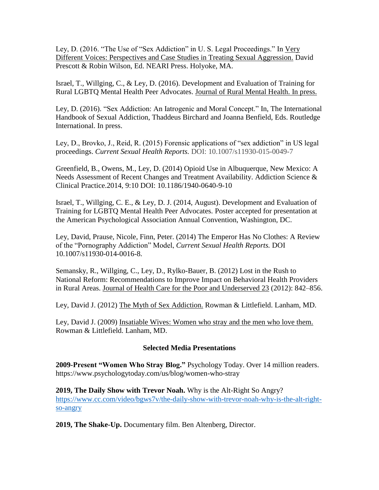Ley, D. (2016. "The Use of "Sex Addiction" in U. S. Legal Proceedings." In Very Different Voices: Perspectives and Case Studies in Treating Sexual Aggression. David Prescott & Robin Wilson, Ed. NEARI Press. Holyoke, MA.

Israel, T., Willging, C., & Ley, D. (2016). Development and Evaluation of Training for Rural LGBTQ Mental Health Peer Advocates. Journal of Rural Mental Health. In press.

Ley, D. (2016). "Sex Addiction: An Iatrogenic and Moral Concept." In, The International Handbook of Sexual Addiction, Thaddeus Birchard and Joanna Benfield, Eds. Routledge International. In press.

Ley, D., Brovko, J., Reid, R. (2015) Forensic applications of "sex addiction" in US legal proceedings. *Current Sexual Health Reports.* DOI: 10.1007/s11930-015-0049-7

Greenfield, B., Owens, M., Ley, D. (2014) Opioid Use in Albuquerque, New Mexico: A Needs Assessment of Recent Changes and Treatment Availability. Addiction Science & Clinical Practice.2014, 9:10 DOI: 10.1186/1940-0640-9-10

Israel, T., Willging, C. E., & Ley, D. J. (2014, August). Development and Evaluation of Training for LGBTQ Mental Health Peer Advocates. Poster accepted for presentation at the American Psychological Association Annual Convention, Washington, DC.

Ley, David, Prause, Nicole, Finn, Peter. (2014) The Emperor Has No Clothes: A Review of the "Pornography Addiction" Model, *Current Sexual Health Reports.* DOI 10.1007/s11930-014-0016-8.

Semansky, R., Willging, C., Ley, D., Rylko-Bauer, B. (2012) Lost in the Rush to National Reform: Recommendations to Improve Impact on Behavioral Health Providers in Rural Areas. Journal of Health Care for the Poor and Underserved 23 (2012): 842–856.

Ley, David J. (2012) The Myth of Sex Addiction. Rowman & Littlefield. Lanham, MD.

Ley, David J. (2009) Insatiable Wives: Women who stray and the men who love them. Rowman & Littlefield. Lanham, MD.

## **Selected Media Presentations**

**2009-Present "Women Who Stray Blog."** Psychology Today. Over 14 million readers. https://www.psychologytoday.com/us/blog/women-who-stray

**2019, The Daily Show with Trevor Noah.** Why is the Alt-Right So Angry? [https://www.cc.com/video/bgws7v/the-daily-show-with-trevor-noah-why-is-the-alt-right](https://www.cc.com/video/bgws7v/the-daily-show-with-trevor-noah-why-is-the-alt-right-so-angry)[so-angry](https://www.cc.com/video/bgws7v/the-daily-show-with-trevor-noah-why-is-the-alt-right-so-angry)

**2019, The Shake-Up.** Documentary film. Ben Altenberg, Director.